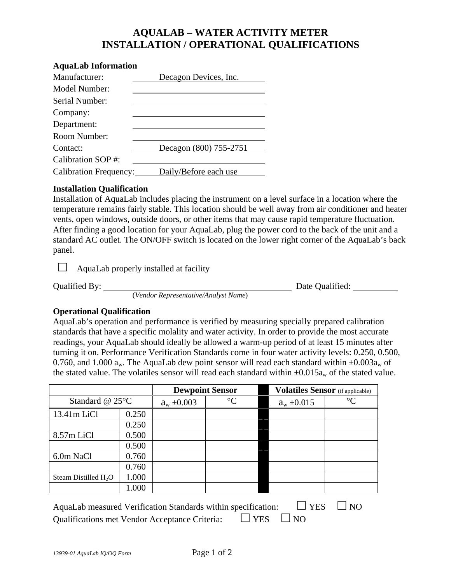## **AQUALAB – WATER ACTIVITY METER INSTALLATION / OPERATIONAL QUALIFICATIONS**

| <b>AquaLab Information</b>    |                        |  |  |  |  |
|-------------------------------|------------------------|--|--|--|--|
| Manufacturer:                 | Decagon Devices, Inc.  |  |  |  |  |
| Model Number:                 |                        |  |  |  |  |
| Serial Number:                |                        |  |  |  |  |
| Company:                      |                        |  |  |  |  |
| Department:                   |                        |  |  |  |  |
| Room Number:                  |                        |  |  |  |  |
| Contact:                      | Decagon (800) 755-2751 |  |  |  |  |
| Calibration SOP#:             |                        |  |  |  |  |
| <b>Calibration Frequency:</b> | Daily/Before each use  |  |  |  |  |

## **Installation Qualification**

Installation of AquaLab includes placing the instrument on a level surface in a location where the temperature remains fairly stable. This location should be well away from air conditioner and heater vents, open windows, outside doors, or other items that may cause rapid temperature fluctuation. After finding a good location for your AquaLab, plug the power cord to the back of the unit and a standard AC outlet. The ON/OFF switch is located on the lower right corner of the AquaLab's back panel.

 $\Box$  AquaLab properly installed at facility

(*Vendor Representative/Analyst Name*)

Qualified By: Date Qualified:

## **Operational Qualification**

AquaLab's operation and performance is verified by measuring specially prepared calibration standards that have a specific molality and water activity. In order to provide the most accurate readings, your AquaLab should ideally be allowed a warm-up period of at least 15 minutes after turning it on. Performance Verification Standards come in four water activity levels: 0.250, 0.500, 0.760, and 1.000  $a_w$ . The AquaLab dew point sensor will read each standard within  $\pm 0.003a_w$  of the stated value. The volatiles sensor will read each standard within  $\pm 0.015a_w$  of the stated value.

|                                                                                               |       | <b>Dewpoint Sensor</b> |                 |  | <b>Volatiles Sensor</b> (if applicable) |           |  |  |
|-----------------------------------------------------------------------------------------------|-------|------------------------|-----------------|--|-----------------------------------------|-----------|--|--|
| Standard @ $25^{\circ}$ C                                                                     |       | $a_w \pm 0.003$        | $\rm ^{\circ}C$ |  | $a_w \pm 0.015$                         | $\circ$ C |  |  |
| $13.41m$ LiCl                                                                                 | 0.250 |                        |                 |  |                                         |           |  |  |
|                                                                                               | 0.250 |                        |                 |  |                                         |           |  |  |
| 8.57m LiCl                                                                                    | 0.500 |                        |                 |  |                                         |           |  |  |
|                                                                                               | 0.500 |                        |                 |  |                                         |           |  |  |
| 6.0m NaCl                                                                                     | 0.760 |                        |                 |  |                                         |           |  |  |
|                                                                                               | 0.760 |                        |                 |  |                                         |           |  |  |
| Steam Distilled $H_2O$                                                                        | 1.000 |                        |                 |  |                                         |           |  |  |
|                                                                                               | 1.000 |                        |                 |  |                                         |           |  |  |
| <b>YES</b><br>N <sub>O</sub><br>AquaLab measured Verification Standards within specification: |       |                        |                 |  |                                         |           |  |  |

Qualifications met Vendor Acceptance Criteria:  $\Box$  YES  $\Box$  NO